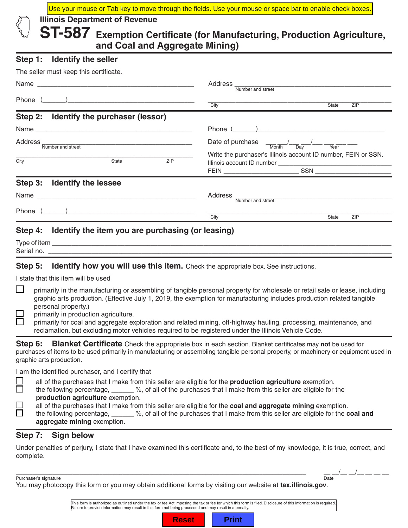Use your mouse or Tab key to move through the fields. Use your mouse or space bar to enable check boxes

**Illinois Department of Revenue**

**ST-587 Exemption Certificate (for Manufacturing, Production Agriculture, and Coal and Aggregate Mining)**

### **Step 1: Identify the seller**

| The seller must keep this certificate.                    |                                                                                                                                              |
|-----------------------------------------------------------|----------------------------------------------------------------------------------------------------------------------------------------------|
|                                                           | Address _<br>Number and street                                                                                                               |
|                                                           | City<br><b>State</b><br>ZIP                                                                                                                  |
| Step 2: Identify the purchaser (lessor)                   |                                                                                                                                              |
|                                                           |                                                                                                                                              |
| Address _<br>Number and street                            | Date of purchase $\frac{1}{\sqrt{M\text{orth}}}$ $\frac{1}{\sqrt{B\text{ay}}}$ $\frac{1}{\sqrt{V\text{ear}}}$ $\frac{1}{\sqrt{V\text{ear}}}$ |
| <b>ZIP</b><br>City<br><b>State</b>                        | Write the purchaser's Illinois account ID number, FEIN or SSN.                                                                               |
| Step 3: Identify the lessee                               |                                                                                                                                              |
| Name                                                      | Address<br>Number and street                                                                                                                 |
|                                                           | City<br><b>ZIP</b><br><b>State</b>                                                                                                           |
| Step 4: Identify the item you are purchasing (or leasing) |                                                                                                                                              |

| $\overline{\phantom{a}}$ |  |  |
|--------------------------|--|--|
| Seria<br>- 1 IV.         |  |  |
|                          |  |  |

**Step 5: Identify how you will use this item.** Check the appropriate box. See instructions.

I state that this item will be used

- primarily in the manufacturing or assembling of tangible personal property for wholesale or retail sale or lease, including graphic arts production. (Effective July 1, 2019, the exemption for manufacturing includes production related tangible personal property.)
- primarily in production agriculture.
	- primarily for coal and aggregate exploration and related mining, off-highway hauling, processing, maintenance, and reclamation, but excluding motor vehicles required to be registered under the Illinois Vehicle Code.

**Step 6: Blanket Certificate** Check the appropriate box in each section. Blanket certificates may **not** be used for purchases of items to be used primarily in manufacturing or assembling tangible personal property, or machinery or equipment used in graphic arts production.

I am the identified purchaser, and I certify that

|        |                                                                                                             | all of the purchases that I make from this seller are eligible for the <b>production agriculture</b> exemption. |  |
|--------|-------------------------------------------------------------------------------------------------------------|-----------------------------------------------------------------------------------------------------------------|--|
|        | the following percentage,                                                                                   | %, of all of the purchases that I make from this seller are eligible for the                                    |  |
|        | production agriculture exemption.                                                                           |                                                                                                                 |  |
| $\Box$ | all of the purchases that I make from this seller are eligible for the coal and aggregate mining exemption. |                                                                                                                 |  |
|        | the following percentage,                                                                                   | %, of all of the purchases that I make from this seller are eligible for the coa                                |  |

| the following percentage, _____ | %, of all of the purchases that I make from this seller are eligible for the <b>coal and</b> |
|---------------------------------|----------------------------------------------------------------------------------------------|
| aggregate mining exemption.     |                                                                                              |

## **Step 7: Sign below**

Under penalties of perjury, I state that I have examined this certificate and, to the best of my knowledge, it is true, correct, and complete.

\_\_\_\_\_\_\_\_\_\_\_\_\_\_\_\_\_\_\_\_\_\_\_\_\_\_\_\_\_\_\_\_\_\_\_\_\_\_\_\_\_\_\_\_\_\_\_\_\_\_\_\_\_\_\_\_\_\_\_\_\_\_\_\_\_\_\_\_\_\_\_\_\_\_\_\_\_\_\_\_\_\_\_\_\_\_\_ \_\_ \_\_/\_\_ \_\_/\_\_ \_\_ \_\_ \_\_

Purchaser's signature Date of the Date of the Date of the Date of the Date of the Date of the Date of the Date of the Date of the Date of the Date of the Date of the Date of the Date of the Date of the Date of the Date of

You may photocopy this form or you may obtain additional forms by visiting our website at **tax.illinois.gov**.

This form is authorized as outlined under the tax or fee Act imposing the tax or fee for which this form is filed. Disclosure of this information is required. Failure to provide information may result in this form not being processed and may result in a penalty.